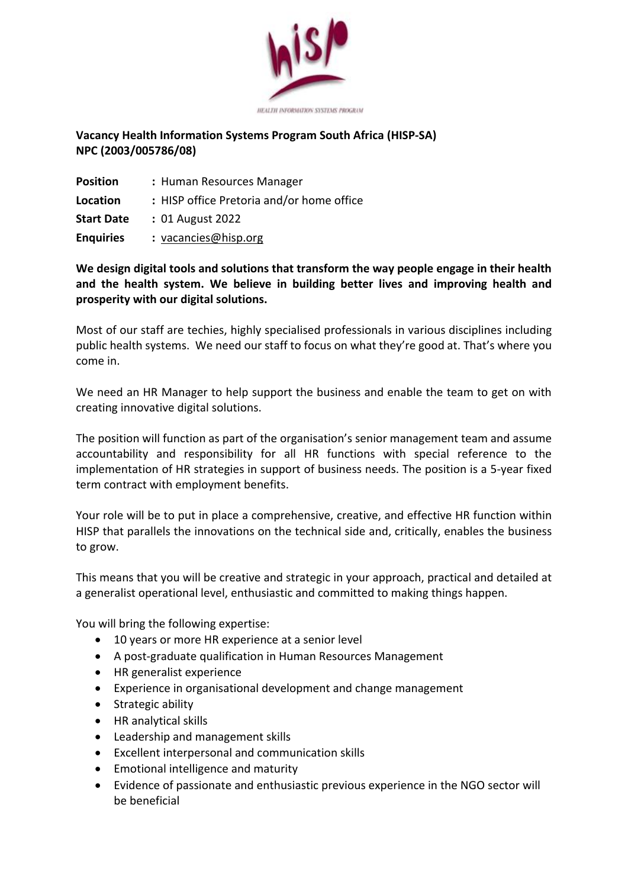

## **Vacancy Health Information Systems Program South Africa (HISP-SA) NPC (2003/005786/08)**

| <b>Position</b>   | : Human Resources Manager                 |
|-------------------|-------------------------------------------|
| Location          | : HISP office Pretoria and/or home office |
| <b>Start Date</b> | : 01 August 2022                          |
| <b>Enquiries</b>  | : vacancies@hisp.org                      |

## **We design digital tools and solutions that transform the way people engage in their health and the health system. We believe in building better lives and improving health and prosperity with our digital solutions.**

Most of our staff are techies, highly specialised professionals in various disciplines including public health systems. We need our staff to focus on what they're good at. That's where you come in.

We need an HR Manager to help support the business and enable the team to get on with creating innovative digital solutions.

The position will function as part of the organisation's senior management team and assume accountability and responsibility for all HR functions with special reference to the implementation of HR strategies in support of business needs. The position is a 5-year fixed term contract with employment benefits.

Your role will be to put in place a comprehensive, creative, and effective HR function within HISP that parallels the innovations on the technical side and, critically, enables the business to grow.

This means that you will be creative and strategic in your approach, practical and detailed at a generalist operational level, enthusiastic and committed to making things happen.

You will bring the following expertise:

- 10 years or more HR experience at a senior level
- A post-graduate qualification in Human Resources Management
- HR generalist experience
- Experience in organisational development and change management
- Strategic ability
- HR analytical skills
- Leadership and management skills
- Excellent interpersonal and communication skills
- Emotional intelligence and maturity
- Evidence of passionate and enthusiastic previous experience in the NGO sector will be beneficial